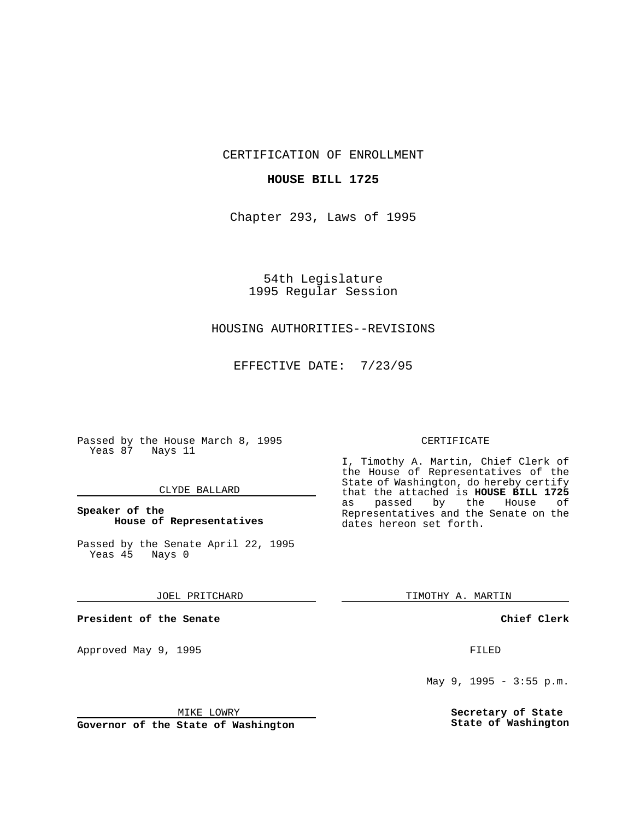CERTIFICATION OF ENROLLMENT

## **HOUSE BILL 1725**

Chapter 293, Laws of 1995

54th Legislature 1995 Regular Session

# HOUSING AUTHORITIES--REVISIONS

EFFECTIVE DATE: 7/23/95

Passed by the House March 8, 1995 Yeas 87 Nays 11

## CLYDE BALLARD

# **Speaker of the House of Representatives**

Passed by the Senate April 22, 1995<br>Yeas 45 Nays 0 Yeas 45

#### JOEL PRITCHARD

**President of the Senate**

Approved May 9, 1995 **FILED** 

#### MIKE LOWRY

**Governor of the State of Washington**

#### CERTIFICATE

I, Timothy A. Martin, Chief Clerk of the House of Representatives of the State of Washington, do hereby certify that the attached is **HOUSE BILL 1725** as passed by the Representatives and the Senate on the dates hereon set forth.

TIMOTHY A. MARTIN

## **Chief Clerk**

May 9, 1995 - 3:55 p.m.

**Secretary of State State of Washington**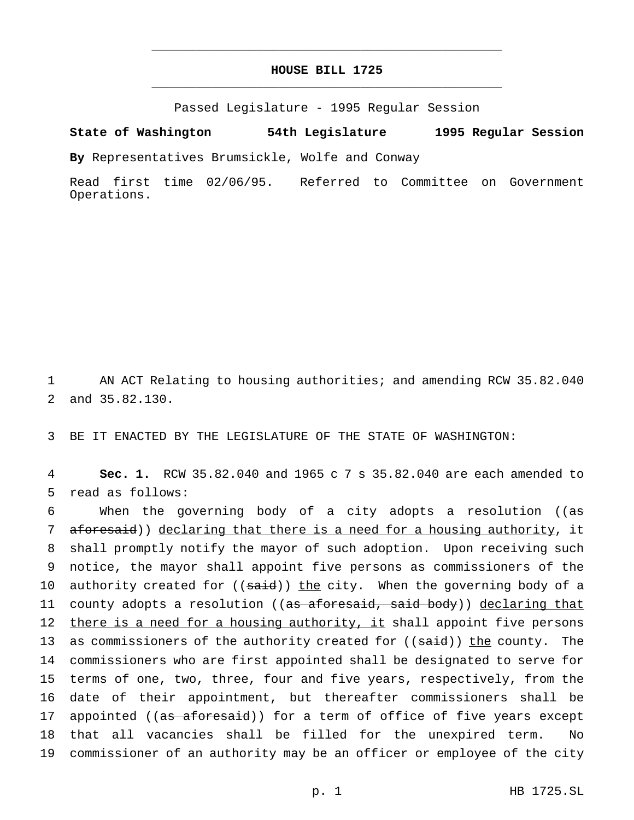# **HOUSE BILL 1725** \_\_\_\_\_\_\_\_\_\_\_\_\_\_\_\_\_\_\_\_\_\_\_\_\_\_\_\_\_\_\_\_\_\_\_\_\_\_\_\_\_\_\_\_\_\_\_

\_\_\_\_\_\_\_\_\_\_\_\_\_\_\_\_\_\_\_\_\_\_\_\_\_\_\_\_\_\_\_\_\_\_\_\_\_\_\_\_\_\_\_\_\_\_\_

Passed Legislature - 1995 Regular Session

## **State of Washington 54th Legislature 1995 Regular Session**

**By** Representatives Brumsickle, Wolfe and Conway

Read first time 02/06/95. Referred to Committee on Government Operations.

1 AN ACT Relating to housing authorities; and amending RCW 35.82.040 2 and 35.82.130.

3 BE IT ENACTED BY THE LEGISLATURE OF THE STATE OF WASHINGTON:

4 **Sec. 1.** RCW 35.82.040 and 1965 c 7 s 35.82.040 are each amended to 5 read as follows:

6 When the governing body of a city adopts a resolution ( $(a\sigma)$ 7 aforesaid)) declaring that there is a need for a housing authority, it 8 shall promptly notify the mayor of such adoption. Upon receiving such 9 notice, the mayor shall appoint five persons as commissioners of the 10 authority created for ((said)) the city. When the governing body of a 11 county adopts a resolution ((as aforesaid, said body)) declaring that 12 there is a need for a housing authority, it shall appoint five persons 13 as commissioners of the authority created for ((said)) the county. The 14 commissioners who are first appointed shall be designated to serve for 15 terms of one, two, three, four and five years, respectively, from the 16 date of their appointment, but thereafter commissioners shall be 17 appointed ((as aforesaid)) for a term of office of five years except 18 that all vacancies shall be filled for the unexpired term. No 19 commissioner of an authority may be an officer or employee of the city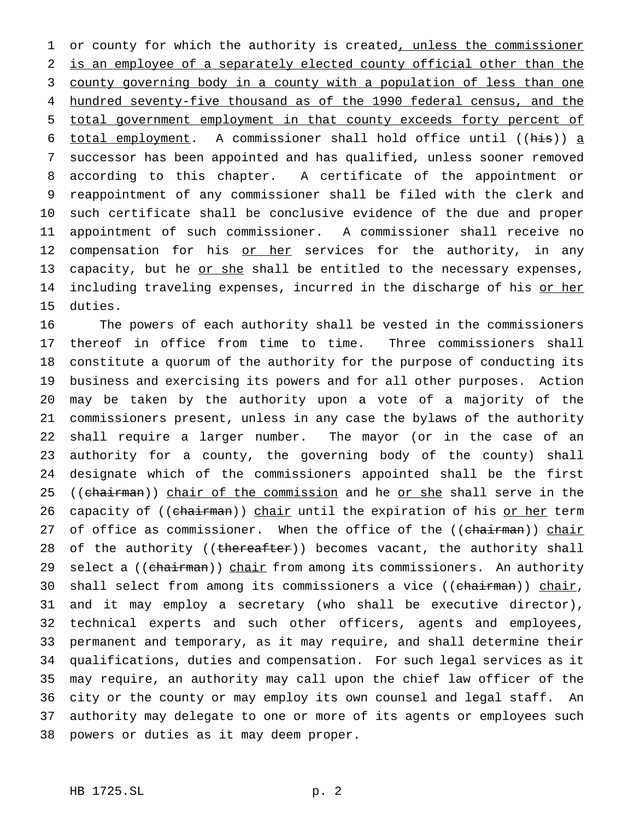1 or county for which the authority is created, unless the commissioner is an employee of a separately elected county official other than the county governing body in a county with a population of less than one hundred seventy-five thousand as of the 1990 federal census, and the total government employment in that county exceeds forty percent of total employment. A commissioner shall hold office until ((his)) a successor has been appointed and has qualified, unless sooner removed according to this chapter. A certificate of the appointment or reappointment of any commissioner shall be filed with the clerk and such certificate shall be conclusive evidence of the due and proper appointment of such commissioner. A commissioner shall receive no 12 compensation for his or her services for the authority, in any 13 capacity, but he or she shall be entitled to the necessary expenses, 14 including traveling expenses, incurred in the discharge of his or her duties.

 The powers of each authority shall be vested in the commissioners thereof in office from time to time. Three commissioners shall constitute a quorum of the authority for the purpose of conducting its business and exercising its powers and for all other purposes. Action may be taken by the authority upon a vote of a majority of the commissioners present, unless in any case the bylaws of the authority shall require a larger number. The mayor (or in the case of an authority for a county, the governing body of the county) shall designate which of the commissioners appointed shall be the first 25 ((chairman)) chair of the commission and he or she shall serve in the 26 capacity of ((chairman)) chair until the expiration of his or her term 27 of office as commissioner. When the office of the ((chairman)) chair 28 of the authority ((thereafter)) becomes vacant, the authority shall 29 select a ((chairman)) chair from among its commissioners. An authority 30 shall select from among its commissioners a vice ((chairman)) chair, and it may employ a secretary (who shall be executive director), technical experts and such other officers, agents and employees, permanent and temporary, as it may require, and shall determine their qualifications, duties and compensation. For such legal services as it may require, an authority may call upon the chief law officer of the city or the county or may employ its own counsel and legal staff. An authority may delegate to one or more of its agents or employees such powers or duties as it may deem proper.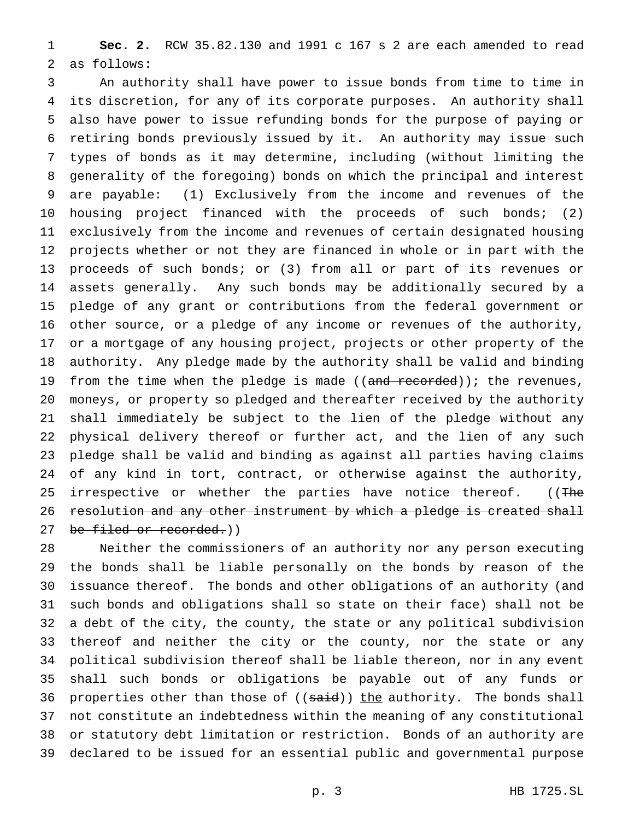**Sec. 2.** RCW 35.82.130 and 1991 c 167 s 2 are each amended to read as follows:

 An authority shall have power to issue bonds from time to time in its discretion, for any of its corporate purposes. An authority shall also have power to issue refunding bonds for the purpose of paying or retiring bonds previously issued by it. An authority may issue such types of bonds as it may determine, including (without limiting the generality of the foregoing) bonds on which the principal and interest are payable: (1) Exclusively from the income and revenues of the housing project financed with the proceeds of such bonds; (2) exclusively from the income and revenues of certain designated housing projects whether or not they are financed in whole or in part with the proceeds of such bonds; or (3) from all or part of its revenues or assets generally. Any such bonds may be additionally secured by a pledge of any grant or contributions from the federal government or other source, or a pledge of any income or revenues of the authority, or a mortgage of any housing project, projects or other property of the authority. Any pledge made by the authority shall be valid and binding 19 from the time when the pledge is made  $((and *recorded*));$  the revenues, moneys, or property so pledged and thereafter received by the authority shall immediately be subject to the lien of the pledge without any physical delivery thereof or further act, and the lien of any such pledge shall be valid and binding as against all parties having claims of any kind in tort, contract, or otherwise against the authority, 25 irrespective or whether the parties have notice thereof. ((The resolution and any other instrument by which a pledge is created shall 27 be filed or recorded.))

 Neither the commissioners of an authority nor any person executing the bonds shall be liable personally on the bonds by reason of the issuance thereof. The bonds and other obligations of an authority (and such bonds and obligations shall so state on their face) shall not be a debt of the city, the county, the state or any political subdivision thereof and neither the city or the county, nor the state or any political subdivision thereof shall be liable thereon, nor in any event shall such bonds or obligations be payable out of any funds or 36 properties other than those of ((said)) the authority. The bonds shall not constitute an indebtedness within the meaning of any constitutional or statutory debt limitation or restriction. Bonds of an authority are declared to be issued for an essential public and governmental purpose